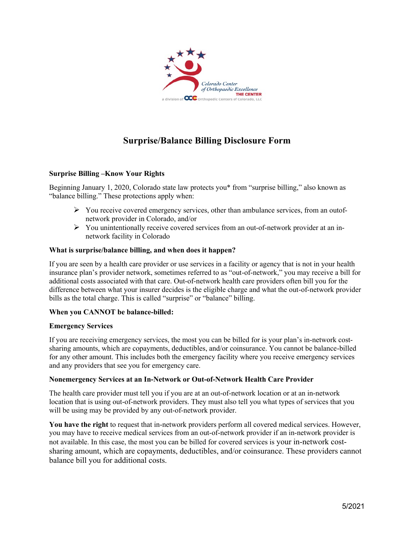

# **Surprise/Balance Billing Disclosure Form**

## **Surprise Billing –Know Your Rights**

Beginning January 1, 2020, Colorado state law protects you\* from "surprise billing," also known as "balance billing." These protections apply when:

- $\triangleright$  You receive covered emergency services, other than ambulance services, from an outofnetwork provider in Colorado, and/or
- $\triangleright$  You unintentionally receive covered services from an out-of-network provider at an innetwork facility in Colorado

### **What is surprise/balance billing, and when does it happen?**

If you are seen by a health care provider or use services in a facility or agency that is not in your health insurance plan's provider network, sometimes referred to as "out-of-network," you may receive a bill for additional costs associated with that care. Out-of-network health care providers often bill you for the difference between what your insurer decides is the eligible charge and what the out-of-network provider bills as the total charge. This is called "surprise" or "balance" billing.

### **When you CANNOT be balance-billed:**

### **Emergency Services**

If you are receiving emergency services, the most you can be billed for is your plan's in-network costsharing amounts, which are copayments, deductibles, and/or coinsurance. You cannot be balance-billed for any other amount. This includes both the emergency facility where you receive emergency services and any providers that see you for emergency care.

### **Nonemergency Services at an In-Network or Out-of-Network Health Care Provider**

The health care provider must tell you if you are at an out-of-network location or at an in-network location that is using out-of-network providers. They must also tell you what types of services that you will be using may be provided by any out-of-network provider.

**You have the right** to request that in-network providers perform all covered medical services. However, you may have to receive medical services from an out-of-network provider if an in-network provider is not available. In this case, the most you can be billed for covered services is your in-network costsharing amount, which are copayments, deductibles, and/or coinsurance. These providers cannot balance bill you for additional costs.